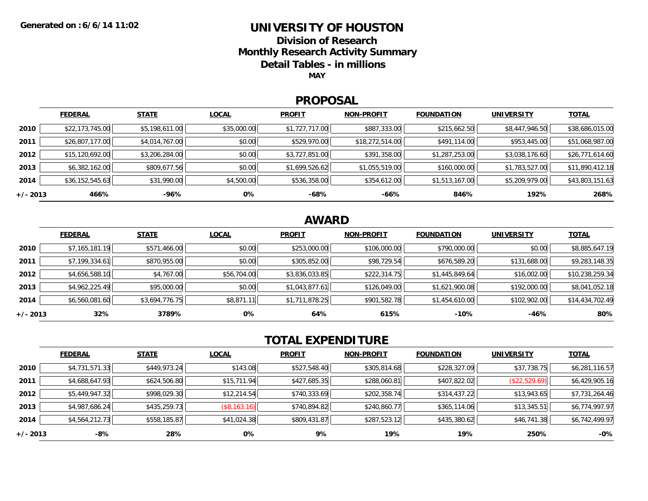### **UNIVERSITY OF HOUSTON**

**Division of Research**

**Monthly Research Activity Summary**

**Detail Tables - in millions**

**MAY**

#### **PROPOSAL**

|            | <b>FEDERAL</b>  | <b>STATE</b>   | <b>LOCAL</b> | <b>PROFIT</b>  | <b>NON-PROFIT</b> | <b>FOUNDATION</b> | <b>UNIVERSITY</b> | <b>TOTAL</b>    |
|------------|-----------------|----------------|--------------|----------------|-------------------|-------------------|-------------------|-----------------|
| 2010       | \$22,173,745.00 | \$5,198,611.00 | \$35,000.00  | \$1,727,717.00 | \$887,333.00      | \$215,662.50      | \$8,447,946.50    | \$38,686,015.00 |
| 2011       | \$26,807,177.00 | \$4,014,767.00 | \$0.00       | \$529,970.00   | \$18,272,514.00   | \$491,114.00      | \$953,445.00      | \$51,068,987.00 |
| 2012       | \$15,120,692.00 | \$3,206,284.00 | \$0.00       | \$3,727,851.00 | \$391,358.00      | \$1,287,253.00    | \$3,038,176.60    | \$26,771,614.60 |
| 2013       | \$6,382,162.00  | \$809,677.56   | \$0.00       | \$1,699,526.62 | \$1,055,519.00    | \$160,000.00      | \$1,783,527.00    | \$11,890,412.18 |
| 2014       | \$36,152,545.63 | \$31,990.00    | \$4,500.00   | \$536,358.00   | \$354,612.00      | \$1,513,167.00    | \$5,209,979.00    | \$43,803,151.63 |
| $+/- 2013$ | 466%            | -96%           | 0%           | -68%           | -66%              | 846%              | 192%              | 268%            |

## **AWARD**

|            | <b>FEDERAL</b> | <b>STATE</b>   | <b>LOCAL</b> | <b>PROFIT</b>  | <b>NON-PROFIT</b> | <b>FOUNDATION</b> | <b>UNIVERSITY</b> | <b>TOTAL</b>    |
|------------|----------------|----------------|--------------|----------------|-------------------|-------------------|-------------------|-----------------|
| 2010       | \$7,165,181.19 | \$571,466.00   | \$0.00       | \$253,000.00   | \$106,000.00      | \$790,000.00      | \$0.00            | \$8,885,647.19  |
| 2011       | \$7,199,334.61 | \$870,955.00   | \$0.00       | \$305,852.00   | \$98,729.54       | \$676,589.20      | \$131,688.00      | \$9,283,148.35  |
| 2012       | \$4,656,588.10 | \$4,767.00     | \$56,704.00  | \$3,836,033.85 | \$222,314.75      | \$1,445,849.64    | \$16,002.00       | \$10,238,259.34 |
| 2013       | \$4,962,225.49 | \$95,000.00    | \$0.00       | \$1,043,877.61 | \$126,049.00      | \$1,621,900.08    | \$192,000.00      | \$8,041,052.18  |
| 2014       | \$6,560,081.60 | \$3,694,776.75 | \$8,871.11   | \$1,711,878.25 | \$901,582.78      | \$1,454,610.00    | \$102,902.00      | \$14,434,702.49 |
| $+/- 2013$ | 32%            | 3789%          | 0%           | 64%            | 615%              | $-10%$            | $-46%$            | 80%             |

# **TOTAL EXPENDITURE**

|            | <b>FEDERAL</b> | <b>STATE</b> | <b>LOCAL</b> | <b>PROFIT</b> | <b>NON-PROFIT</b> | <b>FOUNDATION</b> | <b>UNIVERSITY</b> | <b>TOTAL</b>   |
|------------|----------------|--------------|--------------|---------------|-------------------|-------------------|-------------------|----------------|
| 2010       | \$4,731,571.33 | \$449,973.24 | \$143.08     | \$527,548.40  | \$305,814.68      | \$228,327.09      | \$37,738.75       | \$6,281,116.57 |
| 2011       | \$4,688,647.93 | \$624,506.80 | \$15,711.94  | \$427,685.35  | \$288,060.81      | \$407,822.02      | (\$22,529.69)     | \$6,429,905.16 |
| 2012       | \$5,449,947.32 | \$998,029.30 | \$12,214.54  | \$740,333.69  | \$202,358.74      | \$314,437.22      | \$13,943.65       | \$7,731,264.46 |
| 2013       | \$4,987,686.24 | \$435,259.73 | (\$8,163.16) | \$740,894.82  | \$240,860.77      | \$365,114.06      | \$13,345.51       | \$6,774,997.97 |
| 2014       | \$4,564,212.73 | \$558,185.87 | \$41,024.38  | \$809,431.87  | \$287,523.12      | \$435,380.62      | \$46,741.38       | \$6,742,499.97 |
| $+/- 2013$ | -8%            | 28%          | 0%           | 9%            | 19%               | 19%               | 250%              | $-0\%$         |